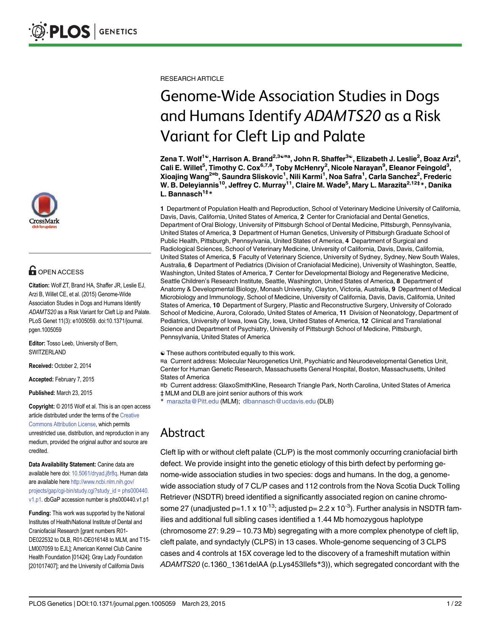

## **G** OPEN ACCESS

Citation: Wolf ZT, Brand HA, Shaffer JR, Leslie EJ, Arzi B, Willet CE, et al. (2015) Genome-Wide Association Studies in Dogs and Humans Identify ADAMTS20 as a Risk Variant for Cleft Lip and Palate. PLoS Genet 11(3): e1005059. doi:10.1371/journal. pgen.1005059

Editor: Tosso Leeb, University of Bern, **SWITZERLAND** 

Received: October 2, 2014

Accepted: February 7, 2015

Published: March 23, 2015

Copyright: © 2015 Wolf et al. This is an open access article distributed under the terms of the [Creative](http://creativecommons.org/licenses/by/4.0/) [Commons Attribution License](http://creativecommons.org/licenses/by/4.0/), which permits unrestricted use, distribution, and reproduction in any medium, provided the original author and source are credited.

Data Availability Statement: Canine data are available here doi: [10.5061/dryad.j8r8q](http://dx.doi.org/10.5061/dryad.j8r8q). Human data are available here [http://www.ncbi.nlm.nih.gov/](http://www.ncbi.nlm.nih.gov/projects/gap/cgi-bin/study.cgi?study_id=phs000440.v1.p1) [projects/gap/cgi-bin/study.cgi?study\\_id = phs000440.](http://www.ncbi.nlm.nih.gov/projects/gap/cgi-bin/study.cgi?study_id=phs000440.v1.p1) [v1.p1.](http://www.ncbi.nlm.nih.gov/projects/gap/cgi-bin/study.cgi?study_id=phs000440.v1.p1) dbGaP accession number is phs000440.v1.p1

Funding: This work was supported by the National Institutes of Health/National Institute of Dental and Craniofacial Research [grant numbers R01- DE022532 to DLB, R01-DE016148 to MLM, and T15- LM007059 to EJL]; American Kennel Club Canine Health Foundation [01424]; Gray Lady Foundation [201017407]; and the University of California Davis

RESEARCH ARTICLE

# Genome-Wide Association Studies in Dogs and Humans Identify ADAMTS20 as a Risk Variant for Cleft Lip and Palate

Zena T. Wolf<sup>1©</sup>, Harrison A. Brand<sup>2,3©¤a</sup>, John R. Shaffer<sup>3©</sup>, Elizabeth J. Leslie<sup>2</sup>, Boaz Arzi<sup>4</sup>, Cali E. Willet<sup>5</sup>, Timothy C. Cox<sup>6,7,8</sup>, Toby McHenry<sup>2</sup>, Nicole Narayan<sup>9</sup>, Eleanor Feingold<sup>3</sup>, Xioajing Wang<sup>2¤b</sup>, Saundra Sliskovic<sup>1</sup>, Nili Karmi<sup>1</sup>, Noa Safra<sup>1</sup>, Carla Sanchez<sup>2</sup>, Frederic W. B. Deleyiannis<sup>10</sup>, Jeffrey C. Murray<sup>11</sup>, Claire M. Wade<sup>5</sup>, Mary L. Marazita<sup>2,12‡</sup>\*, Danika L. Bannasch<sup>1‡\*</sup>

1 Department of Population Health and Reproduction, School of Veterinary Medicine University of California, Davis, Davis, California, United States of America, 2 Center for Craniofacial and Dental Genetics, Department of Oral Biology, University of Pittsburgh School of Dental Medicine, Pittsburgh, Pennsylvania, United States of America, 3 Department of Human Genetics, University of Pittsburgh Graduate School of Public Health, Pittsburgh, Pennsylvania, United States of America, 4 Department of Surgical and Radiological Sciences, School of Veterinary Medicine, University of California, Davis, Davis, California, United States of America, 5 Faculty of Veterinary Science, University of Sydney, Sydney, New South Wales, Australia, 6 Department of Pediatrics (Division of Craniofacial Medicine), University of Washington, Seattle, Washington, United States of America, 7 Center for Developmental Biology and Regenerative Medicine, Seattle Children's Research Institute, Seattle, Washington, United States of America, 8 Department of Anatomy & Developmental Biology, Monash University, Clayton, Victoria, Australia, 9 Department of Medical Microbiology and Immunology, School of Medicine, University of California, Davis, Davis, California, United States of America, 10 Department of Surgery, Plastic and Reconstructive Surgery, University of Colorado School of Medicine, Aurora, Colorado, United States of America, 11 Division of Neonatology, Department of Pediatrics, University of Iowa, Iowa City, Iowa, United States of America, 12 Clinical and Translational Science and Department of Psychiatry, University of Pittsburgh School of Medicine, Pittsburgh, Pennsylvania, United States of America

☯ These authors contributed equally to this work.

¤a Current address: Molecular Neurogenetics Unit, Psychiatric and Neurodevelopmental Genetics Unit, Center for Human Genetic Research, Massachusetts General Hospital, Boston, Massachusetts, United States of America

¤b Current address: GlaxoSmithKline, Research Triangle Park, North Carolina, United States of America ‡ MLM and DLB are joint senior authors of this work

marazita@Pitt.edu (MLM); dlbannasch@ucdavis.edu (DLB)

## Abstract

Cleft lip with or without cleft palate (CL/P) is the most commonly occurring craniofacial birth defect. We provide insight into the genetic etiology of this birth defect by performing genome-wide association studies in two species: dogs and humans. In the dog, a genomewide association study of 7 CL/P cases and 112 controls from the Nova Scotia Duck Tolling Retriever (NSDTR) breed identified a significantly associated region on canine chromosome 27 (unadjusted p=1.1 x 10<sup>-13</sup>; adjusted p= 2.2 x 10<sup>-3</sup>). Further analysis in NSDTR families and additional full sibling cases identified a 1.44 Mb homozygous haplotype (chromosome 27: 9.29 – 10.73 Mb) segregating with a more complex phenotype of cleft lip, cleft palate, and syndactyly (CLPS) in 13 cases. Whole-genome sequencing of 3 CLPS cases and 4 controls at 15X coverage led to the discovery of a frameshift mutation within ADAMTS20 (c.1360\_1361delAA (p.Lys453Ilefs\*3)), which segregated concordant with the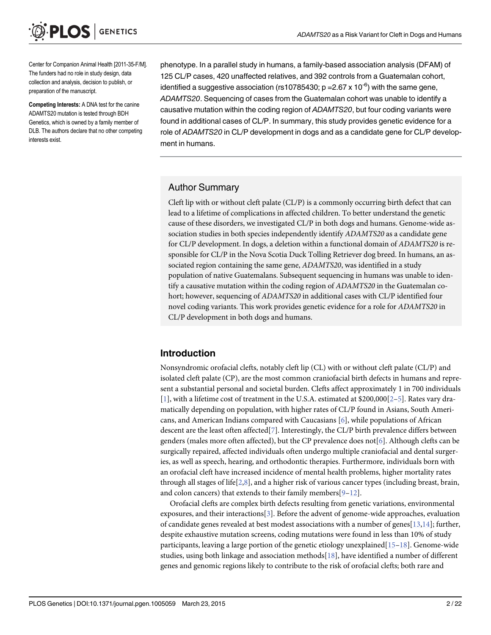<span id="page-1-0"></span>**PLOS I GENETICS** 

Center for Companion Animal Health [2011-35-F/M]. The funders had no role in study design, data collection and analysis, decision to publish, or preparation of the manuscript.

Competing Interests: A DNA test for the canine ADAMTS20 mutation is tested through BDH Genetics, which is owned by a family member of DLB. The authors declare that no other competing interests exist.

phenotype. In a parallel study in humans, a family-based association analysis (DFAM) of 125 CL/P cases, 420 unaffected relatives, and 392 controls from a Guatemalan cohort, identified a suggestive association (rs10785430;  $p = 2.67 \times 10^{-6}$ ) with the same gene, ADAMTS20. Sequencing of cases from the Guatemalan cohort was unable to identify a causative mutation within the coding region of ADAMTS20, but four coding variants were found in additional cases of CL/P. In summary, this study provides genetic evidence for a role of ADAMTS20 in CL/P development in dogs and as a candidate gene for CL/P development in humans.

#### Author Summary

Cleft lip with or without cleft palate (CL/P) is a commonly occurring birth defect that can lead to a lifetime of complications in affected children. To better understand the genetic cause of these disorders, we investigated CL/P in both dogs and humans. Genome-wide association studies in both species independently identify ADAMTS20 as a candidate gene for CL/P development. In dogs, a deletion within a functional domain of ADAMTS20 is responsible for CL/P in the Nova Scotia Duck Tolling Retriever dog breed. In humans, an associated region containing the same gene, ADAMTS20, was identified in a study population of native Guatemalans. Subsequent sequencing in humans was unable to identify a causative mutation within the coding region of ADAMTS20 in the Guatemalan cohort; however, sequencing of ADAMTS20 in additional cases with CL/P identified four novel coding variants. This work provides genetic evidence for a role for ADAMTS20 in CL/P development in both dogs and humans.

#### Introduction

Nonsyndromic orofacial clefts, notably cleft lip (CL) with or without cleft palate (CL/P) and isolated cleft palate (CP), are the most common craniofacial birth defects in humans and represent a substantial personal and societal burden. Clefts affect approximately 1 in 700 individuals [\[1](#page-19-0)], with a lifetime cost of treatment in the U.S.A. estimated at \$200,000[\[2](#page-19-0)–[5\]](#page-19-0). Rates vary dramatically depending on population, with higher rates of CL/P found in Asians, South Americans, and American Indians compared with Caucasians [\[6\]](#page-19-0), while populations of African descent are the least often affected[\[7\]](#page-19-0). Interestingly, the CL/P birth prevalence differs between genders (males more often affected), but the CP prevalence does not  $[6]$  $[6]$  $[6]$ . Although clefts can be surgically repaired, affected individuals often undergo multiple craniofacial and dental surgeries, as well as speech, hearing, and orthodontic therapies. Furthermore, individuals born with an orofacial cleft have increased incidence of mental health problems, higher mortality rates through all stages of life $[2,8]$  $[2,8]$ , and a higher risk of various cancer types (including breast, brain, and colon cancers) that extends to their family members[\[9](#page-19-0)–[12\]](#page-19-0).

Orofacial clefts are complex birth defects resulting from genetic variations, environmental exposures, and their interactions[[3](#page-19-0)]. Before the advent of genome-wide approaches, evaluation of candidate genes revealed at best modest associations with a number of genes $[13,14]$  $[13,14]$  $[13,14]$  $[13,14]$  $[13,14]$ ; further, despite exhaustive mutation screens, coding mutations were found in less than 10% of study participants, leaving a large portion of the genetic etiology unexplained  $[15-18]$  $[15-18]$  $[15-18]$  $[15-18]$ . Genome-wide studies, using both linkage and association methods  $[18]$ , have identified a number of different genes and genomic regions likely to contribute to the risk of orofacial clefts; both rare and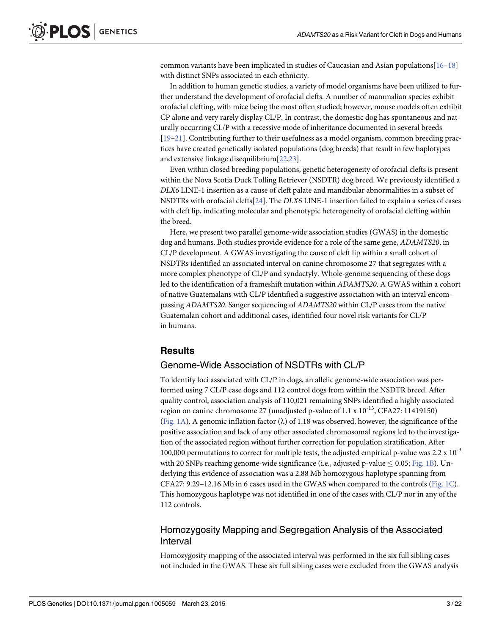<span id="page-2-0"></span>common variants have been implicated in studies of Caucasian and Asian populations $[16-18]$  $[16-18]$  $[16-18]$  $[16-18]$  $[16-18]$ with distinct SNPs associated in each ethnicity.

In addition to human genetic studies, a variety of model organisms have been utilized to further understand the development of orofacial clefts. A number of mammalian species exhibit orofacial clefting, with mice being the most often studied; however, mouse models often exhibit CP alone and very rarely display CL/P. In contrast, the domestic dog has spontaneous and naturally occurring CL/P with a recessive mode of inheritance documented in several breeds [\[19](#page-20-0)–[21\]](#page-20-0). Contributing further to their usefulness as a model organism, common breeding practices have created genetically isolated populations (dog breeds) that result in few haplotypes and extensive linkage disequilibrium[\[22,23\]](#page-20-0).

Even within closed breeding populations, genetic heterogeneity of orofacial clefts is present within the Nova Scotia Duck Tolling Retriever (NSDTR) dog breed. We previously identified a DLX6 LINE-1 insertion as a cause of cleft palate and mandibular abnormalities in a subset of NSDTRs with orofacial clefts[\[24\]](#page-20-0). The DLX6 LINE-1 insertion failed to explain a series of cases with cleft lip, indicating molecular and phenotypic heterogeneity of orofacial clefting within the breed.

Here, we present two parallel genome-wide association studies (GWAS) in the domestic dog and humans. Both studies provide evidence for a role of the same gene, ADAMTS20, in CL/P development. A GWAS investigating the cause of cleft lip within a small cohort of NSDTRs identified an associated interval on canine chromosome 27 that segregates with a more complex phenotype of CL/P and syndactyly. Whole-genome sequencing of these dogs led to the identification of a frameshift mutation within ADAMTS20. A GWAS within a cohort of native Guatemalans with CL/P identified a suggestive association with an interval encompassing ADAMTS20. Sanger sequencing of ADAMTS20 within CL/P cases from the native Guatemalan cohort and additional cases, identified four novel risk variants for CL/P in humans.

## **[Results](#page-16-0)**

## Genome-Wide Association of NSDTRs with CL/P

To identify loci associated with CL/P in dogs, an allelic genome-wide association was performed using 7 CL/P case dogs and 112 control dogs from within the NSDTR breed. After quality control, association analysis of 110,021 remaining SNPs identified a highly associated region on canine chromosome 27 (unadjusted p-value of  $1.1 \times 10^{-13}$ , CFA27: 11419150) [\(Fig. 1A\)](#page-3-0). A genomic inflation factor ( $\lambda$ ) of 1.18 was observed, however, the significance of the positive association and lack of any other associated chromosomal regions led to the investigation of the associated region without further correction for population stratification. After 100,000 permutations to correct for multiple tests, the adjusted empirical p-value was  $2.2 \times 10^{-3}$ with 20 SNPs reaching genome-wide significance (i.e., adjusted p-value  $\leq 0.05$ ; [Fig. 1B](#page-3-0)). Underlying this evidence of association was a 2.88 Mb homozygous haplotype spanning from CFA27: 9.29–12.16 Mb in 6 cases used in the GWAS when compared to the controls [\(Fig. 1C\)](#page-3-0). This homozygous haplotype was not identified in one of the cases with CL/P nor in any of the 112 controls.

## Homozygosity Mapping and Segregation Analysis of the Associated Interval

Homozygosity mapping of the associated interval was performed in the six full sibling cases not included in the GWAS. These six full sibling cases were excluded from the GWAS analysis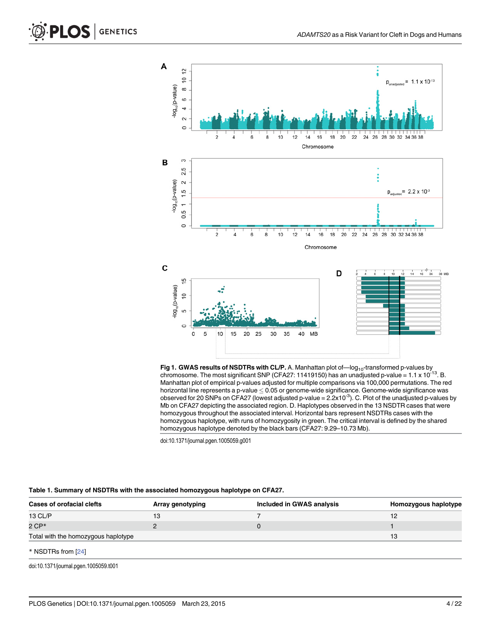<span id="page-3-0"></span>

[Fig 1. G](#page-2-0)WAS results of NSDTRs with CL/P. A. Manhattan plot of- $log_{10}$ -transformed p-values by chromosome. The most significant SNP (CFA27: 11419150) has an unadjusted p-value =  $1.1 \times 10^{-13}$ . B. Manhattan plot of empirical p-values adjusted for multiple comparisons via 100,000 permutations. The red horizontal line represents a p-value  $\leq$  0.05 or genome-wide significance. Genome-wide significance was observed for 20 SNPs on CFA27 (lowest adjusted p-value =  $2.2x10^{-3}$ ). C. Plot of the unadjusted p-values by Mb on CFA27 depicting the associated region. D. Haplotypes observed in the 13 NSDTR cases that were homozygous throughout the associated interval. Horizontal bars represent NSDTRs cases with the homozygous haplotype, with runs of homozygosity in green. The critical interval is defined by the shared homozygous haplotype denoted by the black bars (CFA27: 9.29–10.73 Mb).

#### [Table 1.](#page-4-0) Summary of NSDTRs with the associated homozygous haplotype on CFA27.

| Cases of orofacial clefts           | Array genotyping | Included in GWAS analysis | Homozygous haplotype |
|-------------------------------------|------------------|---------------------------|----------------------|
| 13 CL/P                             | 13               |                           | 12                   |
| $2 CP*$                             |                  |                           |                      |
| Total with the homozygous haplotype |                  |                           | 13                   |
| * NSDTRs from [24]                  |                  |                           |                      |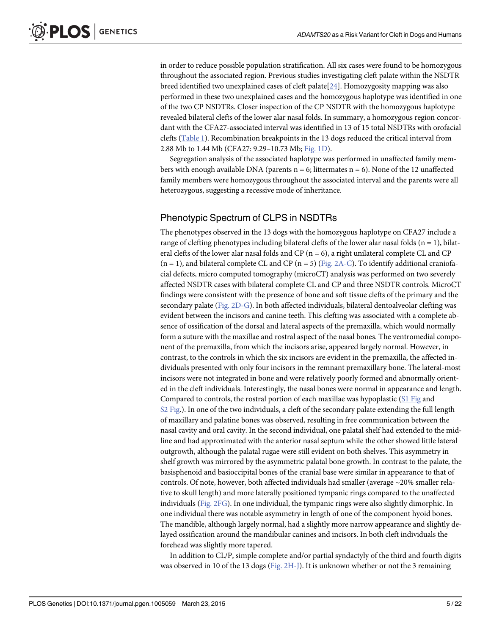<span id="page-4-0"></span>in order to reduce possible population stratification. All six cases were found to be homozygous throughout the associated region. Previous studies investigating cleft palate within the NSDTR breed identified two unexplained cases of cleft palate $[24]$ . Homozygosity mapping was also performed in these two unexplained cases and the homozygous haplotype was identified in one of the two CP NSDTRs. Closer inspection of the CP NSDTR with the homozygous haplotype revealed bilateral clefts of the lower alar nasal folds. In summary, a homozygous region concordant with the CFA27-associated interval was identified in 13 of 15 total NSDTRs with orofacial clefts [\(Table 1](#page-3-0)). Recombination breakpoints in the 13 dogs reduced the critical interval from 2.88 Mb to 1.44 Mb (CFA27: 9.29–10.73 Mb; [Fig. 1D](#page-3-0)).

Segregation analysis of the associated haplotype was performed in unaffected family members with enough available DNA (parents  $n = 6$ ; littermates  $n = 6$ ). None of the 12 unaffected family members were homozygous throughout the associated interval and the parents were all heterozygous, suggesting a recessive mode of inheritance.

## Phenotypic Spectrum of CLPS in NSDTRs

The phenotypes observed in the 13 dogs with the homozygous haplotype on CFA27 include a range of clefting phenotypes including bilateral clefts of the lower alar nasal folds  $(n = 1)$ , bilateral clefts of the lower alar nasal folds and CP ( $n = 6$ ), a right unilateral complete CL and CP  $(n = 1)$ , and bilateral complete CL and CP  $(n = 5)$  [\(Fig. 2A-C](#page-5-0)). To identify additional craniofacial defects, micro computed tomography (microCT) analysis was performed on two severely affected NSDTR cases with bilateral complete CL and CP and three NSDTR controls. MicroCT findings were consistent with the presence of bone and soft tissue clefts of the primary and the secondary palate ([Fig. 2D-G](#page-5-0)). In both affected individuals, bilateral dentoalveolar clefting was evident between the incisors and canine teeth. This clefting was associated with a complete absence of ossification of the dorsal and lateral aspects of the premaxilla, which would normally form a suture with the maxillae and rostral aspect of the nasal bones. The ventromedial component of the premaxilla, from which the incisors arise, appeared largely normal. However, in contrast, to the controls in which the six incisors are evident in the premaxilla, the affected individuals presented with only four incisors in the remnant premaxillary bone. The lateral-most incisors were not integrated in bone and were relatively poorly formed and abnormally oriented in the cleft individuals. Interestingly, the nasal bones were normal in appearance and length. Compared to controls, the rostral portion of each maxillae was hypoplastic ([S1 Fig](#page-17-0) and [S2 Fig](#page-17-0).). In one of the two individuals, a cleft of the secondary palate extending the full length of maxillary and palatine bones was observed, resulting in free communication between the nasal cavity and oral cavity. In the second individual, one palatal shelf had extended to the midline and had approximated with the anterior nasal septum while the other showed little lateral outgrowth, although the palatal rugae were still evident on both shelves. This asymmetry in shelf growth was mirrored by the asymmetric palatal bone growth. In contrast to the palate, the basisphenoid and basioccipital bones of the cranial base were similar in appearance to that of controls. Of note, however, both affected individuals had smaller (average  $\sim$ 20% smaller relative to skull length) and more laterally positioned tympanic rings compared to the unaffected individuals ([Fig. 2FG\)](#page-5-0). In one individual, the tympanic rings were also slightly dimorphic. In one individual there was notable asymmetry in length of one of the component hyoid bones. The mandible, although largely normal, had a slightly more narrow appearance and slightly delayed ossification around the mandibular canines and incisors. In both cleft individuals the forehead was slightly more tapered.

In addition to CL/P, simple complete and/or partial syndactyly of the third and fourth digits was observed in 10 of the 13 dogs [\(Fig. 2H-J](#page-5-0)). It is unknown whether or not the 3 remaining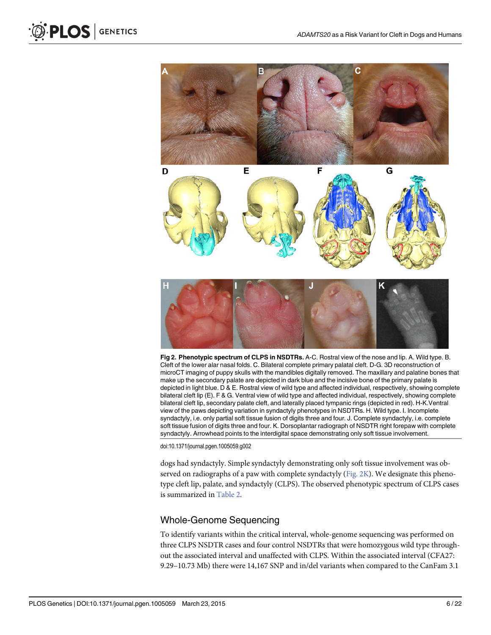

[Fig 2. P](#page-4-0)henotypic spectrum of CLPS in NSDTRs. A-C. Rostral view of the nose and lip. A. Wild type. B. Cleft of the lower alar nasal folds. C. Bilateral complete primary palatal cleft. D-G. 3D reconstruction of microCT imaging of puppy skulls with the mandibles digitally removed. The maxillary and palatine bones that make up the secondary palate are depicted in dark blue and the incisive bone of the primary palate is depicted in light blue. D & E. Rostral view of wild type and affected individual, respectively, showing complete bilateral cleft lip (E). F & G. Ventral view of wild type and affected individual, respectively, showing complete bilateral cleft lip, secondary palate cleft, and laterally placed tympanic rings (depicted in red). H-K.Ventral view of the paws depicting variation in syndactyly phenotypes in NSDTRs. H. Wild type. I. Incomplete syndactyly, i.e. only partial soft tissue fusion of digits three and four. J. Complete syndactyly, i.e. complete soft tissue fusion of digits three and four. K. Dorsoplantar radiograph of NSDTR right forepaw with complete syndactyly. Arrowhead points to the interdigital space demonstrating only soft tissue involvement.

dogs had syndactyly. Simple syndactyly demonstrating only soft tissue involvement was observed on radiographs of a paw with complete syndactyly (Fig. 2K). We designate this phenotype cleft lip, palate, and syndactyly (CLPS). The observed phenotypic spectrum of CLPS cases is summarized in [Table 2](#page-6-0).

#### Whole-Genome Sequencing

To identify variants within the critical interval, whole-genome sequencing was performed on three CLPS NSDTR cases and four control NSDTRs that were homozygous wild type throughout the associated interval and unaffected with CLPS. Within the associated interval (CFA27: 9.29–10.73 Mb) there were 14,167 SNP and in/del variants when compared to the CanFam 3.1

<span id="page-5-0"></span>**PLOS** SENETICS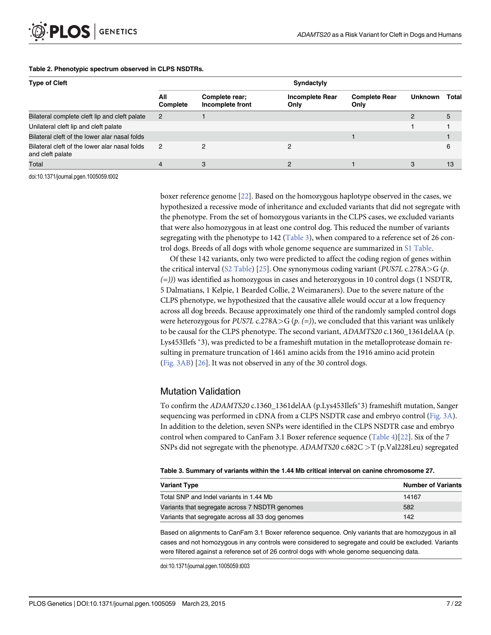#### <span id="page-6-0"></span>[Table 2.](#page-5-0) Phenotypic spectrum observed in CLPS NSDTRs.

| <b>Type of Cleft</b>                                              | Syndactyly      |                                    |                                |                              |                |       |  |
|-------------------------------------------------------------------|-----------------|------------------------------------|--------------------------------|------------------------------|----------------|-------|--|
|                                                                   | All<br>Complete | Complete rear:<br>Incomplete front | <b>Incomplete Rear</b><br>Only | <b>Complete Rear</b><br>Only | <b>Unknown</b> | Total |  |
| Bilateral complete cleft lip and cleft palate                     | $\overline{2}$  |                                    |                                |                              |                | 5     |  |
| Unilateral cleft lip and cleft palate                             |                 |                                    |                                |                              |                |       |  |
| Bilateral cleft of the lower alar nasal folds                     |                 |                                    |                                |                              |                |       |  |
| Bilateral cleft of the lower alar nasal folds<br>and cleft palate | 2               |                                    | C                              |                              |                | 6     |  |
| Total                                                             | 4               |                                    |                                |                              |                | 13    |  |

doi:10.1371/journal.pgen.1005059.t002

boxer reference genome [[22](#page-20-0)]. Based on the homozygous haplotype observed in the cases, we hypothesized a recessive mode of inheritance and excluded variants that did not segregate with the phenotype. From the set of homozygous variants in the CLPS cases, we excluded variants that were also homozygous in at least one control dog. This reduced the number of variants segregating with the phenotype to 142 ( $Table 3$ ), when compared to a reference set of 26 control dogs. Breeds of all dogs with whole genome sequence are summarized in [S1 Table](#page-18-0).

Of these 142 variants, only two were predicted to affect the coding region of genes within the critical interval ( $S2$  Table) [[25\]](#page-20-0). One synonymous coding variant (PUS7L c.278A>G (p. (=))) was identified as homozygous in cases and heterozygous in 10 control dogs (1 NSDTR, 5 Dalmatians, 1 Kelpie, 1 Bearded Collie, 2 Weimaraners). Due to the severe nature of the CLPS phenotype, we hypothesized that the causative allele would occur at a low frequency across all dog breeds. Because approximately one third of the randomly sampled control dogs were heterozygous for PUS7L c.278A $>$ G (p. (=)), we concluded that this variant was unlikely to be causal for the CLPS phenotype. The second variant, ADAMTS20 c.1360 1361delAA (p. Lys453Ilefs \*3), was predicted to be a frameshift mutation in the metalloprotease domain resulting in premature truncation of 1461 amino acids from the 1916 amino acid protein [\(Fig. 3AB\)](#page-7-0) [[26](#page-20-0)]. It was not observed in any of the 30 control dogs.

#### Mutation Validation

To confirm the ADAMTS20 c.1360\_1361delAA (p.Lys453Ilefs<sup>\*</sup>3) frameshift mutation, Sanger sequencing was performed in cDNA from a CLPS NSDTR case and embryo control ([Fig. 3A](#page-7-0)). In addition to the deletion, seven SNPs were identified in the CLPS NSDTR case and embryo control when compared to CanFam 3.1 Boxer reference sequence  $(Table 4)[22]$  $(Table 4)[22]$  $(Table 4)[22]$  $(Table 4)[22]$ . Six of the 7 SNPs did not segregate with the phenotype. ADAMTS20 c.682C >T (p.Val228Leu) segregated

|  |  |  |  | Table 3. Summary of variants within the 1.44 Mb critical interval on canine chromosome 27. |
|--|--|--|--|--------------------------------------------------------------------------------------------|
|--|--|--|--|--------------------------------------------------------------------------------------------|

| <b>Variant Type</b>                               | <b>Number of Variants</b> |
|---------------------------------------------------|---------------------------|
| Total SNP and Indel variants in 1.44 Mb           | 14167                     |
| Variants that segregate across 7 NSDTR genomes    | 582                       |
| Variants that segregate across all 33 dog genomes | 142                       |

Based on alignments to CanFam 3.1 Boxer reference sequence. Only variants that are homozygous in all cases and not homozygous in any controls were considered to segregate and could be excluded. Variants were filtered against a reference set of 26 control dogs with whole genome sequencing data.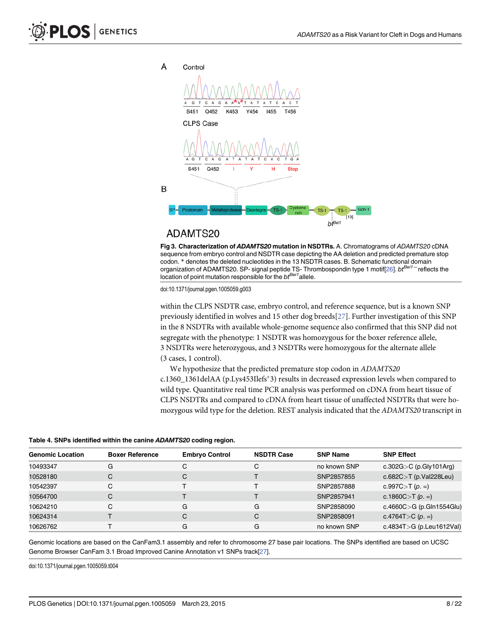<span id="page-7-0"></span>

## ADAMTS20

[Fig 3. C](#page-6-0)haracterization of ADAMTS20 mutation in NSDTRs. A. Chromatograms of ADAMTS20 cDNA sequence from embryo control and NSDTR case depicting the AA deletion and predicted premature stop codon. \* denotes the deleted nucleotides in the 13 NSDTR cases. B. Schematic functional domain organization of ADAMTS20. SP- signal peptide TS- Thrombospondin type 1 motif[[26](#page-20-0)]. bt<sup>Bei1-</sup>reflects the location of point mutation responsible for the  $bt^{Bei}$  allele.

doi:10.1371/journal.pgen.1005059.g003

within the CLPS NSDTR case, embryo control, and reference sequence, but is a known SNP previously identified in wolves and 15 other dog breeds[\[27\]](#page-20-0). Further investigation of this SNP in the 8 NSDTRs with available whole-genome sequence also confirmed that this SNP did not segregate with the phenotype: 1 NSDTR was homozygous for the boxer reference allele, 3 NSDTRs were heterozygous, and 3 NSDTRs were homozygous for the alternate allele (3 cases, 1 control).

We hypothesize that the predicted premature stop codon in ADAMTS20

c.1360\_1361delAA (p.Lys453Ilefs\*3) results in decreased expression levels when compared to wild type. Quantitative real time PCR analysis was performed on cDNA from heart tissue of CLPS NSDTRs and compared to cDNA from heart tissue of unaffected NSDTRs that were homozygous wild type for the deletion. REST analysis indicated that the ADAMTS20 transcript in

| Table 4. SNPs identified within the canine ADAMTS20 coding region. |
|--------------------------------------------------------------------|
|--------------------------------------------------------------------|

| <b>Genomic Location</b> | <b>Boxer Reference</b> | <b>Embryo Control</b> | <b>NSDTR Case</b> | <b>SNP Name</b> | <b>SNP Effect</b>            |
|-------------------------|------------------------|-----------------------|-------------------|-----------------|------------------------------|
| 10493347                | G                      | С                     | C                 | no known SNP    | c.302G $>$ C (p.Gly101Arg)   |
| 10528180                | C                      | C                     |                   | SNP2857855      | $c.682C > T$ (p.Val228Leu)   |
| 10542397                | C                      |                       |                   | SNP2857888      | c.997C>T $(p, =)$            |
| 10564700                | C                      |                       |                   | SNP2857941      | c.1860C>T $(p, =)$           |
| 10624210                | C                      | G                     | G                 | SNP2858090      | c.4660C $>$ G (p.Gln1554Glu) |
| 10624314                |                        | C                     | C                 | SNP2858091      | c.4764T>C ( $p. =$ )         |
| 10626762                |                        | G                     | G                 | no known SNP    | c.4834T>G (p.Leu1612Val)     |

Genomic locations are based on the CanFam3.1 assembly and refer to chromosome 27 base pair locations. The SNPs identified are based on UCSC Genome Browser CanFam 3.1 Broad Improved Canine Annotation v1 SNPs track[[27\]](#page-20-0).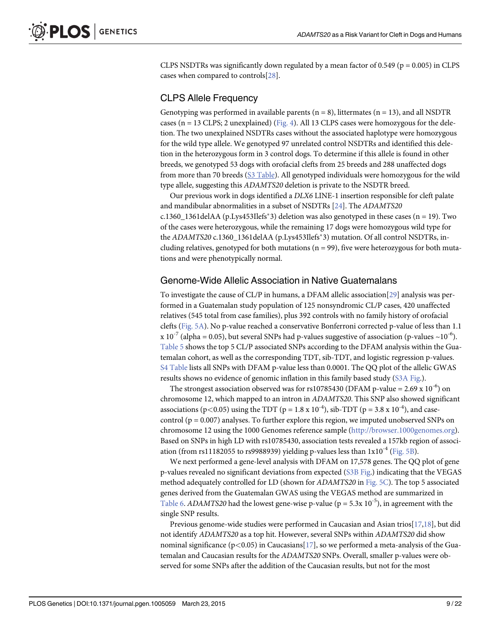<span id="page-8-0"></span>CLPS NSDTRs was significantly down regulated by a mean factor of 0.549 ( $p = 0.005$ ) in CLPS cases when compared to controls[\[28\]](#page-20-0).

#### CLPS Allele Frequency

Genotyping was performed in available parents ( $n = 8$ ), littermates ( $n = 13$ ), and all NSDTR cases (n = 13 CLPS; 2 unexplained) ( $Fig. 4$ ). All 13 CLPS cases were homozygous for the deletion. The two unexplained NSDTRs cases without the associated haplotype were homozygous for the wild type allele. We genotyped 97 unrelated control NSDTRs and identified this deletion in the heterozygous form in 3 control dogs. To determine if this allele is found in other breeds, we genotyped 53 dogs with orofacial clefts from 25 breeds and 288 unaffected dogs from more than 70 breeds ([S3 Table\)](#page-18-0). All genotyped individuals were homozygous for the wild type allele, suggesting this ADAMTS20 deletion is private to the NSDTR breed.

Our previous work in dogs identified a DLX6 LINE-1 insertion responsible for cleft palate and mandibular abnormalities in a subset of NSDTRs [\[24](#page-20-0)]. The ADAMTS20 c.1360\_1361delAA (p.Lys453Ilefs<sup>\*</sup>3) deletion was also genotyped in these cases (n = 19). Two of the cases were heterozygous, while the remaining 17 dogs were homozygous wild type for the ADAMTS20 c.1360\_1361delAA (p.Lys453Ilefs<sup>\*</sup>3) mutation. Of all control NSDTRs, including relatives, genotyped for both mutations ( $n = 99$ ), five were heterozygous for both mutations and were phenotypically normal.

#### Genome-Wide Allelic Association in Native Guatemalans

To investigate the cause of CL/P in humans, a DFAM allelic association[[29](#page-20-0)] analysis was performed in a Guatemalan study population of 125 nonsyndromic CL/P cases, 420 unaffected relatives (545 total from case families), plus 392 controls with no family history of orofacial clefts [\(Fig. 5A\)](#page-10-0). No p-value reached a conservative Bonferroni corrected p-value of less than 1.1 x 10<sup>-7</sup> (alpha = 0.05), but several SNPs had p-values suggestive of association (p-values  $\sim$ 10<sup>-6</sup>). [Table 5](#page-11-0) shows the top 5 CL/P associated SNPs according to the DFAM analysis within the Guatemalan cohort, as well as the corresponding TDT, sib-TDT, and logistic regression p-values. [S4 Table](#page-18-0) lists all SNPs with DFAM p-value less than 0.0001. The QQ plot of the allelic GWAS results shows no evidence of genomic inflation in this family based study ([S3A Fig.](#page-17-0)).

The strongest association observed was for rs10785430 (DFAM p-value =  $2.69 \times 10^{-6}$ ) on chromosome 12, which mapped to an intron in ADAMTS20. This SNP also showed significant associations (p<0.05) using the TDT (p = 1.8 x 10<sup>-4</sup>), sib-TDT (p = 3.8 x 10<sup>-4</sup>), and casecontrol ( $p = 0.007$ ) analyses. To further explore this region, we imputed unobserved SNPs on chromosome 12 using the 1000 Genomes reference sample [\(http://browser.1000genomes.org](http://browser.1000genomes.org)). Based on SNPs in high LD with rs10785430, association tests revealed a 157kb region of association (from rs11182055 to rs9988939) yielding p-values less than  $1x10^{-4}$  [\(Fig. 5B\)](#page-10-0).

We next performed a gene-level analysis with DFAM on 17,578 genes. The QQ plot of gene p-values revealed no significant deviations from expected ([S3B Fig.](#page-17-0)) indicating that the VEGAS method adequately controlled for LD (shown for ADAMTS20 in [Fig. 5C](#page-10-0)). The top 5 associated genes derived from the Guatemalan GWAS using the VEGAS method are summarized in [Table 6](#page-11-0). ADAMTS20 had the lowest gene-wise p-value ( $p = 5.3x 10^{-5}$ ), in agreement with the single SNP results.

Previous genome-wide studies were performed in Caucasian and Asian trios $[17,18]$  $[17,18]$  $[17,18]$ , but did not identify ADAMTS20 as a top hit. However, several SNPs within ADAMTS20 did show nominal significance ( $p$ <0.05) in Caucasians[\[17\]](#page-20-0), so we performed a meta-analysis of the Guatemalan and Caucasian results for the ADAMTS20 SNPs. Overall, smaller p-values were observed for some SNPs after the addition of the Caucasian results, but not for the most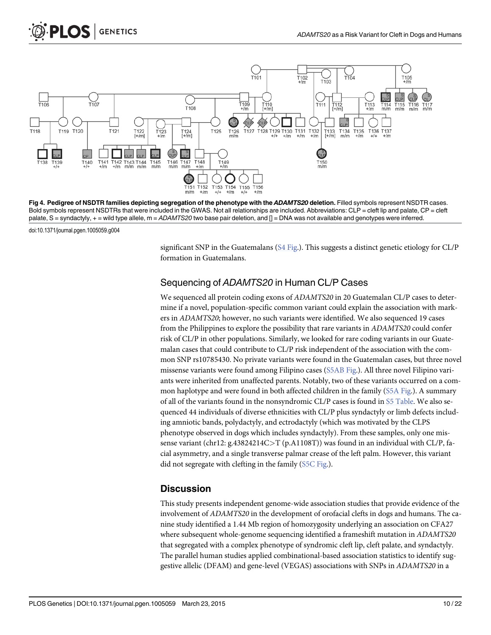<span id="page-9-0"></span>

[Fig 4. P](#page-8-0)edigree of NSDTR families depicting segregation of the phenotype with the ADAMTS20 deletion. Filled symbols represent NSDTR cases. Bold symbols represent NSDTRs that were included in the GWAS. Not all relationships are included. Abbreviations: CLP = cleft lip and palate, CP = cleft palate, S = syndactyly, + = wild type allele, m = ADAMTS20 two base pair deletion, and [] = DNA was not available and genotypes were inferred.

significant SNP in the Guatemalans  $(S4 \text{ Fig.})$ . This suggests a distinct genetic etiology for CL/P formation in Guatemalans.

#### Sequencing of ADAMTS20 in Human CL/P Cases

We sequenced all protein coding exons of  $ADAMTS20$  in 20 Guatemalan CL/P cases to determine if a novel, population-specific common variant could explain the association with markers in ADAMTS20; however, no such variants were identified. We also sequenced 19 cases from the Philippines to explore the possibility that rare variants in ADAMTS20 could confer risk of CL/P in other populations. Similarly, we looked for rare coding variants in our Guatemalan cases that could contribute to CL/P risk independent of the association with the common SNP rs10785430. No private variants were found in the Guatemalan cases, but three novel missense variants were found among Filipino cases [\(S5AB Fig](#page-18-0).). All three novel Filipino variants were inherited from unaffected parents. Notably, two of these variants occurred on a common haplotype and were found in both affected children in the family  $(S5A Fig.)$  $(S5A Fig.)$ . A summary of all of the variants found in the nonsyndromic CL/P cases is found in [S5 Table.](#page-18-0) We also sequenced 44 individuals of diverse ethnicities with CL/P plus syndactyly or limb defects including amniotic bands, polydactyly, and ectrodactyly (which was motivated by the CLPS phenotype observed in dogs which includes syndactyly). From these samples, only one missense variant (chr12: g.43824214C>T (p.A1108T)) was found in an individual with CL/P, facial asymmetry, and a single transverse palmar crease of the left palm. However, this variant did not segregate with clefting in the family ([S5C Fig](#page-18-0).).

#### **Discussion**

This study presents independent genome-wide association studies that provide evidence of the involvement of ADAMTS20 in the development of orofacial clefts in dogs and humans. The canine study identified a 1.44 Mb region of homozygosity underlying an association on CFA27 where subsequent whole-genome sequencing identified a frameshift mutation in ADAMTS20 that segregated with a complex phenotype of syndromic cleft lip, cleft palate, and syndactyly. The parallel human studies applied combinational-based association statistics to identify suggestive allelic (DFAM) and gene-level (VEGAS) associations with SNPs in ADAMTS20 in a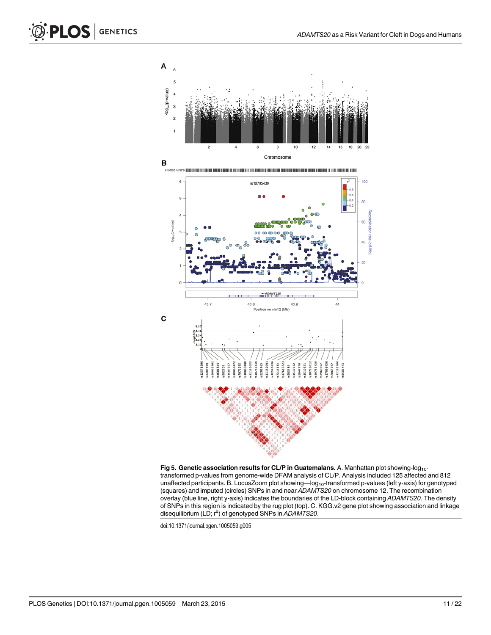<span id="page-10-0"></span>



[Fig 5. G](#page-8-0)enetic association results for CL/P in Guatemalans. A. Manhattan plot showing-log<sub>10</sub>transformed p-values from genome-wide DFAM analysis of CL/P. Analysis included 125 affected and 812 unaffected participants. B. LocusZoom plot showing—log<sub>10</sub>-transformed p-values (left y-axis) for genotyped (squares) and imputed (circles) SNPs in and near ADAMTS20 on chromosome 12. The recombination overlay (blue line, right y-axis) indicates the boundaries of the LD-block containing ADAMTS20. The density of SNPs in this region is indicated by the rug plot (top). C. KGG.v2 gene plot showing association and linkage disequilibrium (LD; r<sup>2</sup>) of genotyped SNPs in ADAMTS20.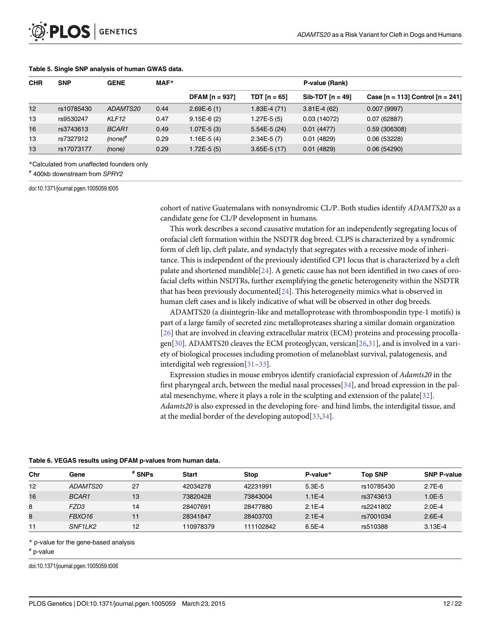| <b>CHR</b> | <b>SNP</b> | <b>GENE</b> | <b>MAF*</b> |                       |                | P-value (Rank)     |                                      |
|------------|------------|-------------|-------------|-----------------------|----------------|--------------------|--------------------------------------|
|            |            |             |             | <b>DFAM</b> [n = 937] | TDT $[n = 65]$ | Sib-TDT $[n = 49]$ | Case $[n = 113]$ Control $[n = 241]$ |
| 12         | rs10785430 | ADAMTS20    | 0.44        | $2.69E-6(1)$          | 1.83E-4 (71)   | $3.81E-4(62)$      | 0.007(9997)                          |
| 13         | rs9530247  | KLF12       | 0.47        | $9.15E-6(2)$          | 1.27E-5 (5)    | 0.03(14072)        | 0.07(62887)                          |
| 16         | rs3743613  | BCAR1       | 0.49        | $1.07E-5(3)$          | $5.54E-5(24)$  | 0.01(4477)         | 0.59(306308)                         |
| 13         | rs7327912  | $(none)^#$  | 0.29        | 1.16E-5(4)            | $2.34E-5(7)$   | 0.01(4829)         | 0.06(53228)                          |
| 13         | rs17073177 | (none)      | 0.29        | 1.72E-5 (5)           | $3.65E-5(17)$  | 0.01(4829)         | 0.06(54290)                          |

#### <span id="page-11-0"></span>[Table 5.](#page-8-0) Single SNP analysis of human GWAS data.

\*Calculated from unaffected founders only

# 400kb downstream from SPRY2

doi:10.1371/journal.pgen.1005059.t005

cohort of native Guatemalans with nonsyndromic CL/P. Both studies identify ADAMTS20 as a candidate gene for CL/P development in humans.

This work describes a second causative mutation for an independently segregating locus of orofacial cleft formation within the NSDTR dog breed. CLPS is characterized by a syndromic form of cleft lip, cleft palate, and syndactyly that segregates with a recessive mode of inheritance. This is independent of the previously identified CP1 locus that is characterized by a cleft palate and shortened mandible[[24](#page-20-0)]. A genetic cause has not been identified in two cases of orofacial clefts within NSDTRs, further exemplifying the genetic heterogeneity within the NSDTR that has been previously documented $[24]$  $[24]$ . This heterogeneity mimics what is observed in human cleft cases and is likely indicative of what will be observed in other dog breeds.

ADAMTS20 (a disintegrin-like and metalloprotease with thrombospondin type-1 motifs) is part of a large family of secreted zinc metalloproteases sharing a similar domain organization [\[26](#page-20-0)] that are involved in cleaving extracellular matrix (ECM) proteins and processing procollagen[[30](#page-20-0)]. ADAMTS20 cleaves the ECM proteoglycan, versican[[26,31\]](#page-20-0), and is involved in a variety of biological processes including promotion of melanoblast survival, palatogenesis, and interdigital web regression[\[31](#page-20-0)–[33](#page-20-0)].

Expression studies in mouse embryos identify craniofacial expression of Adamts20 in the first pharyngeal arch, between the medial nasal processes[[34](#page-20-0)], and broad expression in the palatal mesenchyme, where it plays a role in the sculpting and extension of the palate[[32](#page-20-0)]. Adamts20 is also expressed in the developing fore- and hind limbs, the interdigital tissue, and at the medial border of the developing autopod[\[33,34\]](#page-20-0).

| Table 6. VEGAS results using DFAM p-values from human data. |  |  |  |
|-------------------------------------------------------------|--|--|--|
|-------------------------------------------------------------|--|--|--|

| Gene             | <b>SNPs</b> | Start     | <b>Stop</b> | P-value*   | <b>Top SNP</b> | <b>SNP P-value</b> |
|------------------|-------------|-----------|-------------|------------|----------------|--------------------|
| ADAMTS20         | 27          | 42034278  | 42231991    | $5.3E - 5$ | rs10785430     | $2.7E-6$           |
| BCAR1            | 13          | 73820428  | 73843004    | $1.1E - 4$ | rs3743613      | $1.0E - 5$         |
| FZD <sub>3</sub> | 14          | 28407691  | 28477880    | $2.1F - 4$ | rs2241802      | $2.0E - 4$         |
| FBXO16           | 11          | 28341847  | 28403703    | $2.1E - 4$ | rs7001034      | $2.6E - 4$         |
| SNF1IK2          | 12          | 110978379 | 111102842   | $6.5E - 4$ | rs510388       | $3.13E - 4$        |
|                  |             |           |             |            |                |                    |

\* p-value for the gene-based analysis

<sup>#</sup> p-value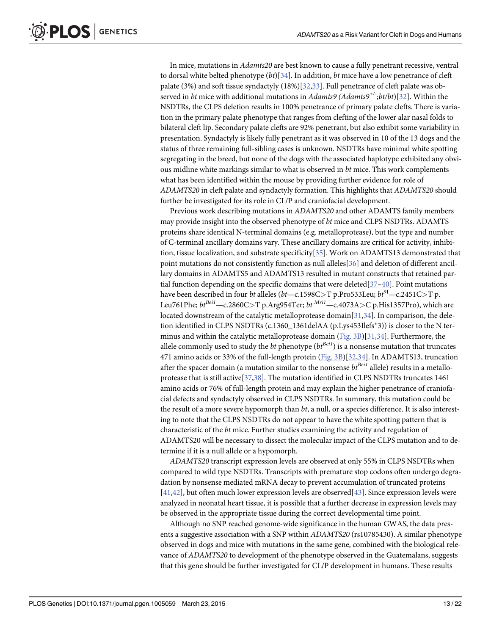<span id="page-12-0"></span>In mice, mutations in *Adamts20* are best known to cause a fully penetrant recessive, ventral to dorsal white belted phenotype  $(bt)[34]$  $(bt)[34]$  $(bt)[34]$ . In addition, bt mice have a low penetrance of cleft palate (3%) and soft tissue syndactyly (18%)[[32,33\]](#page-20-0). Full penetrance of cleft palate was observed in *bt* mice with additional mutations in *Adamts9* (*Adamts9<sup>+/-</sup>;bt/bt*)[[32\]](#page-20-0). Within the NSDTRs, the CLPS deletion results in 100% penetrance of primary palate clefts. There is variation in the primary palate phenotype that ranges from clefting of the lower alar nasal folds to bilateral cleft lip. Secondary palate clefts are 92% penetrant, but also exhibit some variability in presentation. Syndactyly is likely fully penetrant as it was observed in 10 of the 13 dogs and the status of three remaining full-sibling cases is unknown. NSDTRs have minimal white spotting segregating in the breed, but none of the dogs with the associated haplotype exhibited any obvious midline white markings similar to what is observed in bt mice. This work complements what has been identified within the mouse by providing further evidence for role of ADAMTS20 in cleft palate and syndactyly formation. This highlights that ADAMTS20 should further be investigated for its role in CL/P and craniofacial development.

Previous work describing mutations in ADAMTS20 and other ADAMTS family members may provide insight into the observed phenotype of bt mice and CLPS NSDTRs. ADAMTS proteins share identical N-terminal domains (e.g. metalloprotease), but the type and number of C-terminal ancillary domains vary. These ancillary domains are critical for activity, inhibition, tissue localization, and substrate specificity[\[35](#page-20-0)]. Work on ADAMTS13 demonstrated that point mutations do not consistently function as null alleles[[36\]](#page-20-0) and deletion of different ancillary domains in ADAMTS5 and ADAMTS13 resulted in mutant constructs that retained partial function depending on the specific domains that were deleted[\[37](#page-21-0)–[40\]](#page-21-0). Point mutations have been described in four *bt* alleles (*bt*—c.1598C>T p.Pro533Leu;  $bt^{9}$ —c.2451C>T p. Leu761Phe;  $bt^{Bei1}$  - c.2860C>T p.Arg954Ter;  $bt^{Mri1}$  - c.4073A>C p.His1357Pro), which are located downstream of the catalytic metalloprotease domain[[31,34\]](#page-20-0). In comparison, the deletion identified in CLPS NSDTRs (c.1360\_1361delAA (p.Lys453Ilefs\*3)) is closer to the N terminus and within the catalytic metalloprotease domain ([Fig. 3B](#page-7-0))[\[31,34](#page-20-0)]. Furthermore, the allele commonly used to study the bt phenotype  $(bt^{Bei1})$  is a nonsense mutation that truncates 471 amino acids or 33% of the full-length protein [\(Fig. 3B\)](#page-7-0)[\[32,34\]](#page-20-0). In ADAMTS13, truncation after the spacer domain (a mutation similar to the nonsense  $bt^{Bei1}$  allele) results in a metalloprotease that is still active[[37](#page-21-0),[38](#page-21-0)]. The mutation identified in CLPS NSDTRs truncates 1461 amino acids or 76% of full-length protein and may explain the higher penetrance of craniofacial defects and syndactyly observed in CLPS NSDTRs. In summary, this mutation could be the result of a more severe hypomorph than  $bt$ , a null, or a species difference. It is also interesting to note that the CLPS NSDTRs do not appear to have the white spotting pattern that is characteristic of the bt mice. Further studies examining the activity and regulation of ADAMTS20 will be necessary to dissect the molecular impact of the CLPS mutation and to determine if it is a null allele or a hypomorph.

ADAMTS20 transcript expression levels are observed at only 55% in CLPS NSDTRs when compared to wild type NSDTRs. Transcripts with premature stop codons often undergo degradation by nonsense mediated mRNA decay to prevent accumulation of truncated proteins  $[41,42]$ , but often much lower expression levels are observed  $[43]$  $[43]$  $[43]$ . Since expression levels were analyzed in neonatal heart tissue, it is possible that a further decrease in expression levels may be observed in the appropriate tissue during the correct developmental time point.

Although no SNP reached genome-wide significance in the human GWAS, the data presents a suggestive association with a SNP within ADAMTS20 (rs10785430). A similar phenotype observed in dogs and mice with mutations in the same gene, combined with the biological relevance of ADAMTS20 to development of the phenotype observed in the Guatemalans, suggests that this gene should be further investigated for CL/P development in humans. These results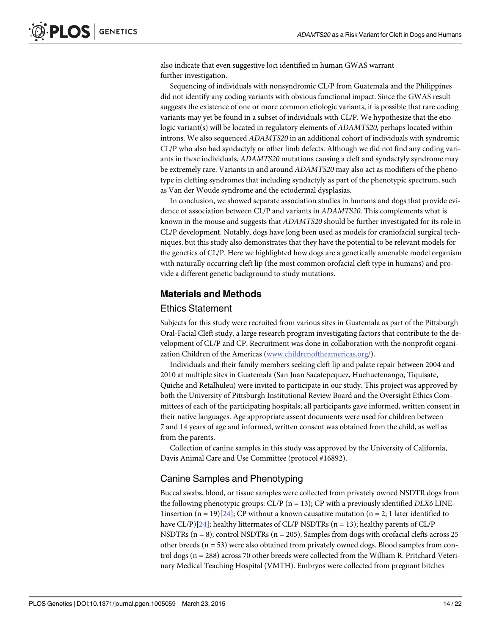<span id="page-13-0"></span>also indicate that even suggestive loci identified in human GWAS warrant further investigation.

Sequencing of individuals with nonsyndromic CL/P from Guatemala and the Philippines did not identify any coding variants with obvious functional impact. Since the GWAS result suggests the existence of one or more common etiologic variants, it is possible that rare coding variants may yet be found in a subset of individuals with CL/P. We hypothesize that the etiologic variant(s) will be located in regulatory elements of ADAMTS20, perhaps located within introns. We also sequenced ADAMTS20 in an additional cohort of individuals with syndromic CL/P who also had syndactyly or other limb defects. Although we did not find any coding variants in these individuals, ADAMTS20 mutations causing a cleft and syndactyly syndrome may be extremely rare. Variants in and around ADAMTS20 may also act as modifiers of the phenotype in clefting syndromes that including syndactyly as part of the phenotypic spectrum, such as Van der Woude syndrome and the ectodermal dysplasias.

In conclusion, we showed separate association studies in humans and dogs that provide evidence of association between CL/P and variants in ADAMTS20. This complements what is known in the mouse and suggests that ADAMTS20 should be further investigated for its role in CL/P development. Notably, dogs have long been used as models for craniofacial surgical techniques, but this study also demonstrates that they have the potential to be relevant models for the genetics of CL/P. Here we highlighted how dogs are a genetically amenable model organism with naturally occurring cleft lip (the most common orofacial cleft type in humans) and provide a different genetic background to study mutations.

## [Materials and Methods](#page-15-0)

#### Ethics Statement

Subjects for this study were recruited from various sites in Guatemala as part of the Pittsburgh Oral-Facial Cleft study, a large research program investigating factors that contribute to the development of CL/P and CP. Recruitment was done in collaboration with the nonprofit organization Children of the Americas ([www.childrenoftheamericas.org/](http://www.childrenoftheamericas.org/)).

Individuals and their family members seeking cleft lip and palate repair between 2004 and 2010 at multiple sites in Guatemala (San Juan Sacatepequez, Huehuetenango, Tiquisate, Quiche and Retalhuleu) were invited to participate in our study. This project was approved by both the University of Pittsburgh Institutional Review Board and the Oversight Ethics Committees of each of the participating hospitals; all participants gave informed, written consent in their native languages. Age appropriate assent documents were used for children between 7 and 14 years of age and informed, written consent was obtained from the child, as well as from the parents.

Collection of canine samples in this study was approved by the University of California, Davis Animal Care and Use Committee (protocol #16892).

## Canine Samples and Phenotyping

Buccal swabs, blood, or tissue samples were collected from privately owned NSDTR dogs from the following phenotypic groups: CL/P (n = 13); CP with a previously identified DLX6 LINE-1 linsertion (n = 19)[[24\]](#page-20-0); CP without a known causative mutation (n = 2; 1 later identified to have CL/P) $[24]$ ; healthy littermates of CL/P NSDTRs (n = 13); healthy parents of CL/P NSDTRs  $(n = 8)$ ; control NSDTRs  $(n = 205)$ . Samples from dogs with orofacial clefts across 25 other breeds  $(n = 53)$  were also obtained from privately owned dogs. Blood samples from control dogs (n = 288) across 70 other breeds were collected from the William R. Pritchard Veterinary Medical Teaching Hospital (VMTH). Embryos were collected from pregnant bitches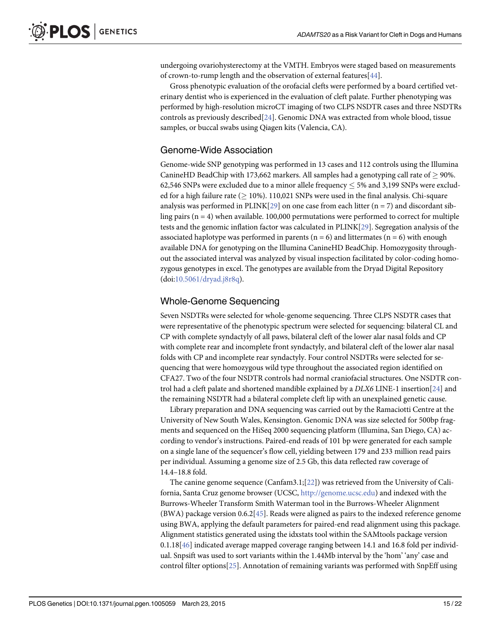<span id="page-14-0"></span>undergoing ovariohysterectomy at the VMTH. Embryos were staged based on measurements of crown-to-rump length and the observation of external features[\[44](#page-21-0)].

Gross phenotypic evaluation of the orofacial clefts were performed by a board certified veterinary dentist who is experienced in the evaluation of cleft palate. Further phenotyping was performed by high-resolution microCT imaging of two CLPS NSDTR cases and three NSDTRs controls as previously described  $[24]$  $[24]$  $[24]$ . Genomic DNA was extracted from whole blood, tissue samples, or buccal swabs using Qiagen kits (Valencia, CA).

#### Genome-Wide Association

Genome-wide SNP genotyping was performed in 13 cases and 112 controls using the Illumina CanineHD BeadChip with 173,662 markers. All samples had a genotyping call rate of  $\geq$  90%. 62,546 SNPs were excluded due to a minor allele frequency  $\leq$  5% and 3,199 SNPs were excluded for a high failure rate ( $\geq 10\%$ ). 110,021 SNPs were used in the final analysis. Chi-square analysis was performed in  $PLINK[29]$  $PLINK[29]$  $PLINK[29]$  on one case from each litter (n = 7) and discordant sibling pairs  $(n = 4)$  when available. 100,000 permutations were performed to correct for multiple tests and the genomic inflation factor was calculated in PLINK[\[29\]](#page-20-0). Segregation analysis of the associated haplotype was performed in parents ( $n = 6$ ) and littermates ( $n = 6$ ) with enough available DNA for genotyping on the Illumina CanineHD BeadChip. Homozygosity throughout the associated interval was analyzed by visual inspection facilitated by color-coding homozygous genotypes in excel. The genotypes are available from the Dryad Digital Repository (doi[:10.5061/dryad.j8r8q\)](http://dx.doi.org/10.5061/dryad.j8r8q).

#### Whole-Genome Sequencing

Seven NSDTRs were selected for whole-genome sequencing. Three CLPS NSDTR cases that were representative of the phenotypic spectrum were selected for sequencing: bilateral CL and CP with complete syndactyly of all paws, bilateral cleft of the lower alar nasal folds and CP with complete rear and incomplete front syndactyly, and bilateral cleft of the lower alar nasal folds with CP and incomplete rear syndactyly. Four control NSDTRs were selected for sequencing that were homozygous wild type throughout the associated region identified on CFA27. Two of the four NSDTR controls had normal craniofacial structures. One NSDTR control had a cleft palate and shortened mandible explained by a DLX6 LINE-1 insertion[\[24\]](#page-20-0) and the remaining NSDTR had a bilateral complete cleft lip with an unexplained genetic cause.

Library preparation and DNA sequencing was carried out by the Ramaciotti Centre at the University of New South Wales, Kensington. Genomic DNA was size selected for 500bp fragments and sequenced on the HiSeq 2000 sequencing platform (Illumina, San Diego, CA) according to vendor's instructions. Paired-end reads of 101 bp were generated for each sample on a single lane of the sequencer's flow cell, yielding between 179 and 233 million read pairs per individual. Assuming a genome size of 2.5 Gb, this data reflected raw coverage of 14.4–18.8 fold.

The canine genome sequence (Canfam3.1; $[22]$  $[22]$  $[22]$ ) was retrieved from the University of California, Santa Cruz genome browser (UCSC, [http://genome.ucsc.edu\)](http://genome.ucsc.edu) and indexed with the Burrows-Wheeler Transform Smith Waterman tool in the Burrows-Wheeler Alignment (BWA) package version  $0.6.2\left[\frac{45}{3}\right]$ . Reads were aligned as pairs to the indexed reference genome using BWA, applying the default parameters for paired-end read alignment using this package. Alignment statistics generated using the idxstats tool within the SAMtools package version 0.1.18[[46\]](#page-21-0) indicated average mapped coverage ranging between 14.1 and 16.8 fold per individual. Snpsift was used to sort variants within the 1.44Mb interval by the 'hom' 'any' case and control filter options  $[25]$  $[25]$ . Annotation of remaining variants was performed with SnpEff using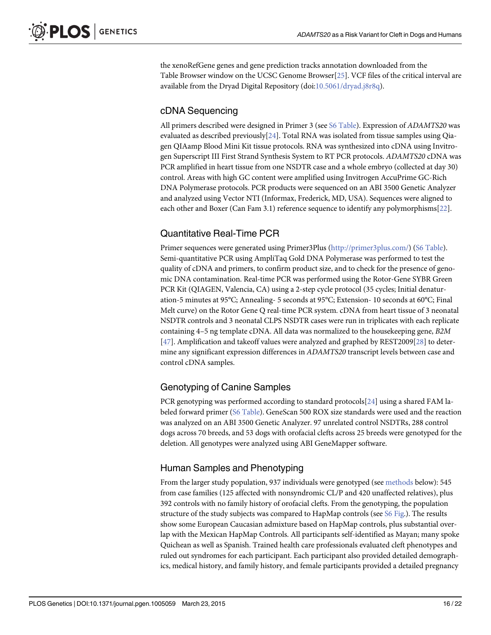<span id="page-15-0"></span>the xenoRefGene genes and gene prediction tracks annotation downloaded from the Table Browser window on the UCSC Genome Browser $[25]$ . VCF files of the critical interval are available from the Dryad Digital Repository (doi:[10.5061/dryad.j8r8q\)](http://dx.doi.org/10.5061/dryad.j8r8q).

## cDNA Sequencing

All primers described were designed in Primer 3 (see [S6 Table](#page-18-0)). Expression of ADAMTS20 was evaluated as described previously $[24]$  $[24]$  $[24]$ . Total RNA was isolated from tissue samples using Qiagen QIAamp Blood Mini Kit tissue protocols. RNA was synthesized into cDNA using Invitrogen Superscript III First Strand Synthesis System to RT PCR protocols. ADAMTS20 cDNA was PCR amplified in heart tissue from one NSDTR case and a whole embryo (collected at day 30) control. Areas with high GC content were amplified using Invitrogen AccuPrime GC-Rich DNA Polymerase protocols. PCR products were sequenced on an ABI 3500 Genetic Analyzer and analyzed using Vector NTI (Informax, Frederick, MD, USA). Sequences were aligned to each other and Boxer (Can Fam 3.1) reference sequence to identify any polymorphisms  $[22]$ .

## Quantitative Real-Time PCR

Primer sequences were generated using Primer3Plus ([http://primer3plus.com/\)](http://primer3plus.com/) ([S6 Table\)](#page-18-0). Semi-quantitative PCR using AmpliTaq Gold DNA Polymerase was performed to test the quality of cDNA and primers, to confirm product size, and to check for the presence of genomic DNA contamination. Real-time PCR was performed using the Rotor-Gene SYBR Green PCR Kit (QIAGEN, Valencia, CA) using a 2-step cycle protocol (35 cycles; Initial denaturation-5 minutes at 95°C; Annealing- 5 seconds at 95°C; Extension- 10 seconds at 60°C; Final Melt curve) on the Rotor Gene Q real-time PCR system. cDNA from heart tissue of 3 neonatal NSDTR controls and 3 neonatal CLPS NSDTR cases were run in triplicates with each replicate containing 4–5 ng template cDNA. All data was normalized to the housekeeping gene, B2M [\[47](#page-21-0)]. Amplification and takeoff values were analyzed and graphed by REST2009[[28\]](#page-20-0) to determine any significant expression differences in ADAMTS20 transcript levels between case and control cDNA samples.

## Genotyping of Canine Samples

PCR genotyping was performed according to standard protocols[\[24\]](#page-20-0) using a shared FAM labeled forward primer [\(S6 Table\)](#page-18-0). GeneScan 500 ROX size standards were used and the reaction was analyzed on an ABI 3500 Genetic Analyzer. 97 unrelated control NSDTRs, 288 control dogs across 70 breeds, and 53 dogs with orofacial clefts across 25 breeds were genotyped for the deletion. All genotypes were analyzed using ABI GeneMapper software.

## Human Samples and Phenotyping

From the larger study population, 937 individuals were genotyped (see [methods](#page-13-0) below): 545 from case families (125 affected with nonsyndromic CL/P and 420 unaffected relatives), plus 392 controls with no family history of orofacial clefts. From the genotyping, the population structure of the study subjects was compared to HapMap controls (see [S6 Fig.](#page-18-0)). The results show some European Caucasian admixture based on HapMap controls, plus substantial overlap with the Mexican HapMap Controls. All participants self-identified as Mayan; many spoke Quichean as well as Spanish. Trained health care professionals evaluated cleft phenotypes and ruled out syndromes for each participant. Each participant also provided detailed demographics, medical history, and family history, and female participants provided a detailed pregnancy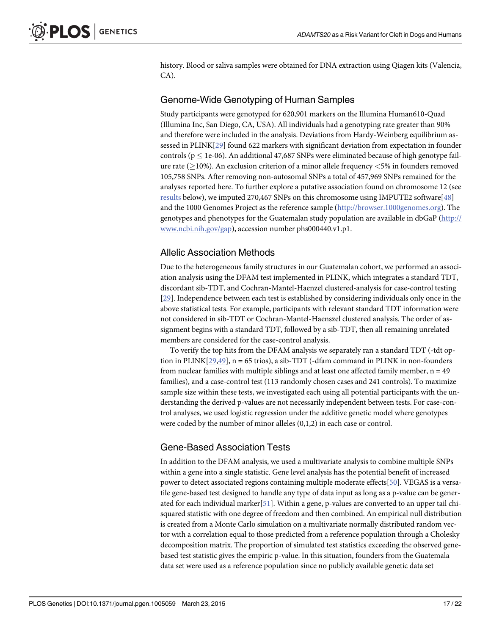<span id="page-16-0"></span>history. Blood or saliva samples were obtained for DNA extraction using Qiagen kits (Valencia, CA).

#### Genome-Wide Genotyping of Human Samples

Study participants were genotyped for 620,901 markers on the Illumina Human610-Quad (Illumina Inc, San Diego, CA, USA). All individuals had a genotyping rate greater than 90% and therefore were included in the analysis. Deviations from Hardy-Weinberg equilibrium assessed in PLINK[[29](#page-20-0)] found 622 markers with significant deviation from expectation in founder controls ( $p \le 1e-06$ ). An additional 47,687 SNPs were eliminated because of high genotype failure rate ( $\geq$ 10%). An exclusion criterion of a minor allele frequency <5% in founders removed 105,758 SNPs. After removing non-autosomal SNPs a total of 457,969 SNPs remained for the analyses reported here. To further explore a putative association found on chromosome 12 (see [results](#page-2-0) below), we imputed 270,467 SNPs on this chromosome using IMPUTE2 software[\[48](#page-21-0)] and the 1000 Genomes Project as the reference sample ([http://browser.1000genomes.org\)](http://browser.1000genomes.org). The genotypes and phenotypes for the Guatemalan study population are available in dbGaP ([http://](http://www.ncbi.nih.gov/gap) [www.ncbi.nih.gov/gap](http://www.ncbi.nih.gov/gap)), accession number phs000440.v1.p1.

#### Allelic Association Methods

Due to the heterogeneous family structures in our Guatemalan cohort, we performed an association analysis using the DFAM test implemented in PLINK, which integrates a standard TDT, discordant sib-TDT, and Cochran-Mantel-Haenzel clustered-analysis for case-control testing [\[29](#page-20-0)]. Independence between each test is established by considering individuals only once in the above statistical tests. For example, participants with relevant standard TDT information were not considered in sib-TDT or Cochran-Mantel-Haenszel clustered analysis. The order of assignment begins with a standard TDT, followed by a sib-TDT, then all remaining unrelated members are considered for the case-control analysis.

To verify the top hits from the DFAM analysis we separately ran a standard TDT (-tdt option in PLINK $[29,49]$  $[29,49]$ , n = 65 trios), a sib-TDT (-dfam command in PLINK in non-founders from nuclear families with multiple siblings and at least one affected family member,  $n = 49$ families), and a case-control test (113 randomly chosen cases and 241 controls). To maximize sample size within these tests, we investigated each using all potential participants with the understanding the derived p-values are not necessarily independent between tests. For case-control analyses, we used logistic regression under the additive genetic model where genotypes were coded by the number of minor alleles (0,1,2) in each case or control.

## Gene-Based Association Tests

In addition to the DFAM analysis, we used a multivariate analysis to combine multiple SNPs within a gene into a single statistic. Gene level analysis has the potential benefit of increased power to detect associated regions containing multiple moderate effects[[50](#page-21-0)]. VEGAS is a versatile gene-based test designed to handle any type of data input as long as a p-value can be generated for each individual marker $[51]$  $[51]$  $[51]$ . Within a gene, p-values are converted to an upper tail chisquared statistic with one degree of freedom and then combined. An empirical null distribution is created from a Monte Carlo simulation on a multivariate normally distributed random vector with a correlation equal to those predicted from a reference population through a Cholesky decomposition matrix. The proportion of simulated test statistics exceeding the observed genebased test statistic gives the empiric p-value. In this situation, founders from the Guatemala data set were used as a reference population since no publicly available genetic data set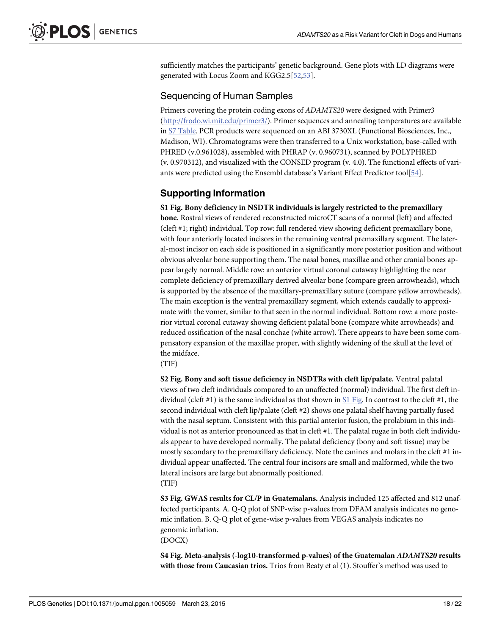<span id="page-17-0"></span>sufficiently matches the participants' genetic background. Gene plots with LD diagrams were generated with Locus Zoom and KGG2.5[\[52,53](#page-21-0)].

#### Sequencing of Human Samples

Primers covering the protein coding exons of ADAMTS20 were designed with Primer3 [\(http://frodo.wi.mit.edu/primer3/](http://frodo.wi.mit.edu/primer3/)). Primer sequences and annealing temperatures are available in [S7 Table](#page-18-0). PCR products were sequenced on an ABI 3730XL (Functional Biosciences, Inc., Madison, WI). Chromatograms were then transferred to a Unix workstation, base-called with PHRED (v.0.961028), assembled with PHRAP (v. 0.960731), scanned by POLYPHRED (v. 0.970312), and visualized with the CONSED program (v. 4.0). The functional effects of variants were predicted using the Ensembl database's Variant Effect Predictor tool[[54](#page-21-0)].

## Supporting Information

[S1 Fig.](http://www.plosone.org/article/fetchSingleRepresentation.action?uri=info:doi/10.1371/journal.pgen.1005059.s001) Bony deficiency in NSDTR individuals is largely restricted to the premaxillary bone. Rostral views of rendered reconstructed microCT scans of a normal (left) and affected (cleft #1; right) individual. Top row: full rendered view showing deficient premaxillary bone, with four anteriorly located incisors in the remaining ventral premaxillary segment. The lateral-most incisor on each side is positioned in a significantly more posterior position and without obvious alveolar bone supporting them. The nasal bones, maxillae and other cranial bones appear largely normal. Middle row: an anterior virtual coronal cutaway highlighting the near complete deficiency of premaxillary derived alveolar bone (compare green arrowheads), which is supported by the absence of the maxillary-premaxillary suture (compare yellow arrowheads). The main exception is the ventral premaxillary segment, which extends caudally to approximate with the vomer, similar to that seen in the normal individual. Bottom row: a more posterior virtual coronal cutaway showing deficient palatal bone (compare white arrowheads) and reduced ossification of the nasal conchae (white arrow). There appears to have been some compensatory expansion of the maxillae proper, with slightly widening of the skull at the level of the midface.

(TIF)

[S2 Fig.](http://www.plosone.org/article/fetchSingleRepresentation.action?uri=info:doi/10.1371/journal.pgen.1005059.s002) Bony and soft tissue deficiency in NSDTRs with cleft lip/palate. Ventral palatal views of two cleft individuals compared to an unaffected (normal) individual. The first cleft individual (cleft #1) is the same individual as that shown in  $SI$  Fig. In contrast to the cleft #1, the second individual with cleft lip/palate (cleft #2) shows one palatal shelf having partially fused with the nasal septum. Consistent with this partial anterior fusion, the prolabium in this individual is not as anterior pronounced as that in cleft #1. The palatal rugae in both cleft individuals appear to have developed normally. The palatal deficiency (bony and soft tissue) may be mostly secondary to the premaxillary deficiency. Note the canines and molars in the cleft #1 individual appear unaffected. The central four incisors are small and malformed, while the two lateral incisors are large but abnormally positioned. (TIF)

[S3 Fig.](http://www.plosone.org/article/fetchSingleRepresentation.action?uri=info:doi/10.1371/journal.pgen.1005059.s003) GWAS results for CL/P in Guatemalans. Analysis included 125 affected and 812 unaffected participants. A. Q-Q plot of SNP-wise p-values from DFAM analysis indicates no genomic inflation. B. Q-Q plot of gene-wise p-values from VEGAS analysis indicates no genomic inflation. (DOCX)

[S4 Fig.](http://www.plosone.org/article/fetchSingleRepresentation.action?uri=info:doi/10.1371/journal.pgen.1005059.s004) Meta-analysis (-log10-transformed p-values) of the Guatemalan ADAMTS20 results with those from Caucasian trios. Trios from Beaty et al (1). Stouffer's method was used to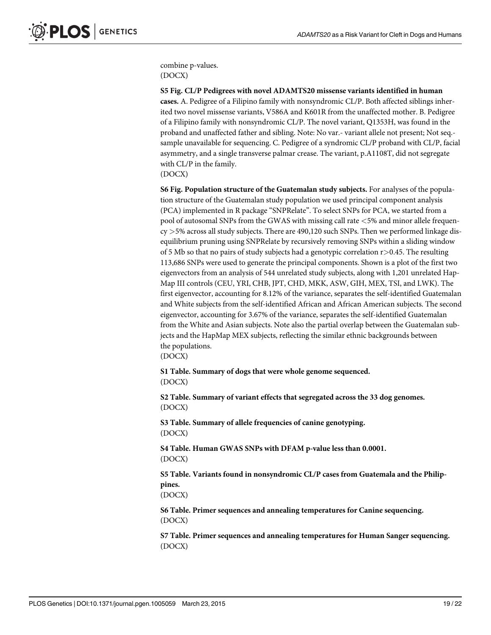<span id="page-18-0"></span>combine p-values. (DOCX)

[S5 Fig.](http://www.plosone.org/article/fetchSingleRepresentation.action?uri=info:doi/10.1371/journal.pgen.1005059.s005) CL/P Pedigrees with novel ADAMTS20 missense variants identified in human cases. A. Pedigree of a Filipino family with nonsyndromic CL/P. Both affected siblings inherited two novel missense variants, V586A and K601R from the unaffected mother. B. Pedigree of a Filipino family with nonsyndromic CL/P. The novel variant, Q1353H, was found in the proband and unaffected father and sibling. Note: No var.- variant allele not present; Not seq. sample unavailable for sequencing. C. Pedigree of a syndromic CL/P proband with CL/P, facial asymmetry, and a single transverse palmar crease. The variant, p.A1108T, did not segregate with CL/P in the family.



[S6 Fig.](http://www.plosone.org/article/fetchSingleRepresentation.action?uri=info:doi/10.1371/journal.pgen.1005059.s006) Population structure of the Guatemalan study subjects. For analyses of the population structure of the Guatemalan study population we used principal component analysis (PCA) implemented in R package "SNPRelate". To select SNPs for PCA, we started from a pool of autosomal SNPs from the GWAS with missing call rate <5% and minor allele frequen $cy > 5\%$  across all study subjects. There are 490,120 such SNPs. Then we performed linkage disequilibrium pruning using SNPRelate by recursively removing SNPs within a sliding window of 5 Mb so that no pairs of study subjects had a genotypic correlation  $r > 0.45$ . The resulting 113,686 SNPs were used to generate the principal components. Shown is a plot of the first two eigenvectors from an analysis of 544 unrelated study subjects, along with 1,201 unrelated Hap-Map III controls (CEU, YRI, CHB, JPT, CHD, MKK, ASW, GIH, MEX, TSI, and LWK). The first eigenvector, accounting for 8.12% of the variance, separates the self-identified Guatemalan and White subjects from the self-identified African and African American subjects. The second eigenvector, accounting for 3.67% of the variance, separates the self-identified Guatemalan from the White and Asian subjects. Note also the partial overlap between the Guatemalan subjects and the HapMap MEX subjects, reflecting the similar ethnic backgrounds between the populations.

(DOCX)

[S1 Table](http://www.plosone.org/article/fetchSingleRepresentation.action?uri=info:doi/10.1371/journal.pgen.1005059.s007). Summary of dogs that were whole genome sequenced. (DOCX)

[S2 Table](http://www.plosone.org/article/fetchSingleRepresentation.action?uri=info:doi/10.1371/journal.pgen.1005059.s008). Summary of variant effects that segregated across the 33 dog genomes. (DOCX)

[S3 Table](http://www.plosone.org/article/fetchSingleRepresentation.action?uri=info:doi/10.1371/journal.pgen.1005059.s009). Summary of allele frequencies of canine genotyping. (DOCX)

[S4 Table](http://www.plosone.org/article/fetchSingleRepresentation.action?uri=info:doi/10.1371/journal.pgen.1005059.s010). Human GWAS SNPs with DFAM p-value less than 0.0001. (DOCX)

[S5 Table](http://www.plosone.org/article/fetchSingleRepresentation.action?uri=info:doi/10.1371/journal.pgen.1005059.s011). Variants found in nonsyndromic CL/P cases from Guatemala and the Philippines.

(DOCX)

[S6 Table](http://www.plosone.org/article/fetchSingleRepresentation.action?uri=info:doi/10.1371/journal.pgen.1005059.s012). Primer sequences and annealing temperatures for Canine sequencing. (DOCX)

[S7 Table](http://www.plosone.org/article/fetchSingleRepresentation.action?uri=info:doi/10.1371/journal.pgen.1005059.s013). Primer sequences and annealing temperatures for Human Sanger sequencing. (DOCX)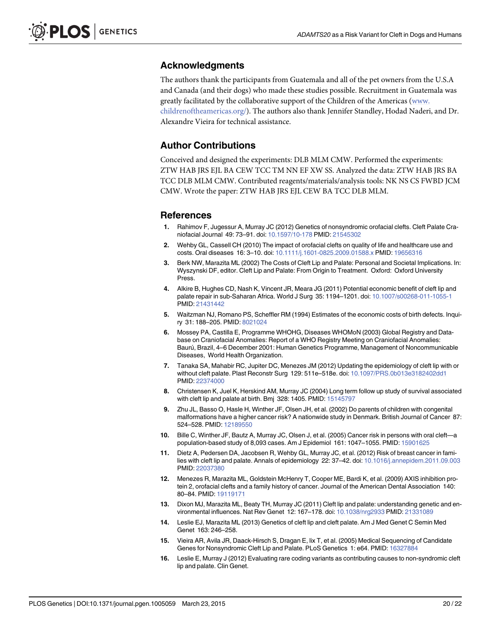#### <span id="page-19-0"></span>Acknowledgments

The authors thank the participants from Guatemala and all of the pet owners from the U.S.A and Canada (and their dogs) who made these studies possible. Recruitment in Guatemala was greatly facilitated by the collaborative support of the Children of the Americas ([www.](http://www.childrenoftheamericas.org/) [childrenoftheamericas.org/](http://www.childrenoftheamericas.org/)). The authors also thank Jennifer Standley, Hodad Naderi, and Dr. Alexandre Vieira for technical assistance.

## Author Contributions

Conceived and designed the experiments: DLB MLM CMW. Performed the experiments: ZTW HAB JRS EJL BA CEW TCC TM NN EF XW SS. Analyzed the data: ZTW HAB JRS BA TCC DLB MLM CMW. Contributed reagents/materials/analysis tools: NK NS CS FWBD JCM CMW. Wrote the paper: ZTW HAB JRS EJL CEW BA TCC DLB MLM.

#### References

- [1.](#page-1-0) Rahimov F, Jugessur A, Murray JC (2012) Genetics of nonsyndromic orofacial clefts. Cleft Palate Craniofacial Journal 49: 73–91. doi: [10.1597/10-178](http://dx.doi.org/10.1597/10-178) PMID: [21545302](http://www.ncbi.nlm.nih.gov/pubmed/21545302)
- [2.](#page-1-0) Wehby GL, Cassell CH (2010) The impact of orofacial clefts on quality of life and healthcare use and costs. Oral diseases 16: 3–10. doi: [10.1111/j.1601-0825.2009.01588.x](http://dx.doi.org/10.1111/j.1601-0825.2009.01588.x) PMID: [19656316](http://www.ncbi.nlm.nih.gov/pubmed/19656316)
- [3.](#page-1-0) Berk NW, Marazita ML (2002) The Costs of Cleft Lip and Palate: Personal and Societal Implications. In: Wyszynski DF, editor. Cleft Lip and Palate: From Origin to Treatment. Oxford: Oxford University Press.
- 4. Alkire B, Hughes CD, Nash K, Vincent JR, Meara JG (2011) Potential economic benefit of cleft lip and palate repair in sub-Saharan Africa. World J Surg 35: 1194–1201. doi: [10.1007/s00268-011-1055-1](http://dx.doi.org/10.1007/s00268-011-1055-1) PMID: [21431442](http://www.ncbi.nlm.nih.gov/pubmed/21431442)
- [5.](#page-1-0) Waitzman NJ, Romano PS, Scheffler RM (1994) Estimates of the economic costs of birth defects. Inquiry 31: 188–205. PMID: [8021024](http://www.ncbi.nlm.nih.gov/pubmed/8021024)
- [6.](#page-1-0) Mossey PA, Castilla E, Programme WHOHG, Diseases WHOMoN (2003) Global Registry and Database on Craniofacial Anomalies: Report of a WHO Registry Meeting on Craniofacial Anomalies: Baurú, Brazil, 4–6 December 2001: Human Genetics Programme, Management of Noncommunicable Diseases, World Health Organization.
- [7.](#page-1-0) Tanaka SA, Mahabir RC, Jupiter DC, Menezes JM (2012) Updating the epidemiology of cleft lip with or without cleft palate. Plast Reconstr Surg 129: 511e-518e. doi: [10.1097/PRS.0b013e3182402dd1](http://dx.doi.org/10.1097/PRS.0b013e3182402dd1) PMID: [22374000](http://www.ncbi.nlm.nih.gov/pubmed/22374000)
- [8.](#page-1-0) Christensen K, Juel K, Herskind AM, Murray JC (2004) Long term follow up study of survival associated with cleft lip and palate at birth. Bmj 328: 1405. PMID: [15145797](http://www.ncbi.nlm.nih.gov/pubmed/15145797)
- [9.](#page-1-0) Zhu JL, Basso O, Hasle H, Winther JF, Olsen JH, et al. (2002) Do parents of children with congenital malformations have a higher cancer risk? A nationwide study in Denmark. British Journal of Cancer 87: 524–528. PMID: [12189550](http://www.ncbi.nlm.nih.gov/pubmed/12189550)
- 10. Bille C, Winther JF, Bautz A, Murray JC, Olsen J, et al. (2005) Cancer risk in persons with oral cleft—a population-based study of 8,093 cases. Am J Epidemiol 161: 1047–1055. PMID: [15901625](http://www.ncbi.nlm.nih.gov/pubmed/15901625)
- 11. Dietz A, Pedersen DA, Jacobsen R, Wehby GL, Murray JC, et al. (2012) Risk of breast cancer in fami-lies with cleft lip and palate. Annals of epidemiology 22: 37-42. doi: [10.1016/j.annepidem.2011.09.003](http://dx.doi.org/10.1016/j.annepidem.2011.09.003) PMID: [22037380](http://www.ncbi.nlm.nih.gov/pubmed/22037380)
- [12.](#page-1-0) Menezes R, Marazita ML, Goldstein McHenry T, Cooper ME, Bardi K, et al. (2009) AXIS inhibition protein 2, orofacial clefts and a family history of cancer. Journal of the American Dental Association 140: 80–84. PMID: [19119171](http://www.ncbi.nlm.nih.gov/pubmed/19119171)
- [13.](#page-1-0) Dixon MJ, Marazita ML, Beaty TH, Murray JC (2011) Cleft lip and palate: understanding genetic and environmental influences. Nat Rev Genet 12: 167–178. doi: [10.1038/nrg2933](http://dx.doi.org/10.1038/nrg2933) PMID: [21331089](http://www.ncbi.nlm.nih.gov/pubmed/21331089)
- [14.](#page-1-0) Leslie EJ, Marazita ML (2013) Genetics of cleft lip and cleft palate. Am J Med Genet C Semin Med Genet 163: 246–258.
- [15.](#page-1-0) Vieira AR, Avila JR, Daack-Hirsch S, Dragan E, lix T, et al. (2005) Medical Sequencing of Candidate Genes for Nonsyndromic Cleft Lip and Palate. PLoS Genetics 1: e64. PMID: [16327884](http://www.ncbi.nlm.nih.gov/pubmed/16327884)
- [16.](#page-2-0) Leslie E, Murray J (2012) Evaluating rare coding variants as contributing causes to non-syndromic cleft lip and palate. Clin Genet.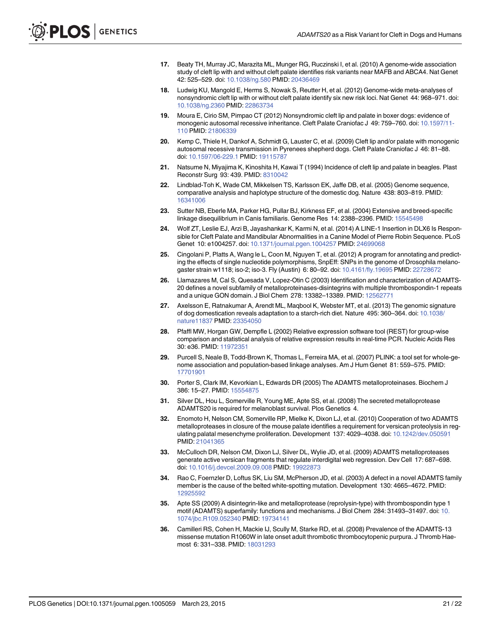- <span id="page-20-0"></span>[17.](#page-8-0) Beaty TH, Murray JC, Marazita ML, Munger RG, Ruczinski I, et al. (2010) A genome-wide association study of cleft lip with and without cleft palate identifies risk variants near MAFB and ABCA4. Nat Genet 42: 525–529. doi: [10.1038/ng.580](http://dx.doi.org/10.1038/ng.580) PMID: [20436469](http://www.ncbi.nlm.nih.gov/pubmed/20436469)
- [18.](#page-1-0) Ludwig KU, Mangold E, Herms S, Nowak S, Reutter H, et al. (2012) Genome-wide meta-analyses of nonsyndromic cleft lip with or without cleft palate identify six new risk loci. Nat Genet 44: 968–971. doi: [10.1038/ng.2360](http://dx.doi.org/10.1038/ng.2360) PMID: [22863734](http://www.ncbi.nlm.nih.gov/pubmed/22863734)
- [19.](#page-2-0) Moura E, Cirio SM, Pimpao CT (2012) Nonsyndromic cleft lip and palate in boxer dogs: evidence of monogenic autosomal recessive inheritance. Cleft Palate Craniofac J 49: 759–760. doi: [10.1597/11-](http://dx.doi.org/10.1597/11-110) [110](http://dx.doi.org/10.1597/11-110) PMID: [21806339](http://www.ncbi.nlm.nih.gov/pubmed/21806339)
- 20. Kemp C, Thiele H, Dankof A, Schmidt G, Lauster C, et al. (2009) Cleft lip and/or palate with monogenic autosomal recessive transmission in Pyrenees shepherd dogs. Cleft Palate Craniofac J 46: 81–88. doi: [10.1597/06-229.1](http://dx.doi.org/10.1597/06-229.1) PMID: [19115787](http://www.ncbi.nlm.nih.gov/pubmed/19115787)
- [21.](#page-2-0) Natsume N, Miyajima K, Kinoshita H, Kawai T (1994) Incidence of cleft lip and palate in beagles. Plast Reconstr Surg 93: 439. PMID: [8310042](http://www.ncbi.nlm.nih.gov/pubmed/8310042)
- [22.](#page-2-0) Lindblad-Toh K, Wade CM, Mikkelsen TS, Karlsson EK, Jaffe DB, et al. (2005) Genome sequence, comparative analysis and haplotype structure of the domestic dog. Nature 438: 803–819. PMID: [16341006](http://www.ncbi.nlm.nih.gov/pubmed/16341006)
- [23.](#page-2-0) Sutter NB, Eberle MA, Parker HG, Pullar BJ, Kirkness EF, et al. (2004) Extensive and breed-specific linkage disequilibrium in Canis familiaris. Genome Res 14: 2388–2396. PMID: [15545498](http://www.ncbi.nlm.nih.gov/pubmed/15545498)
- [24.](#page-2-0) Wolf ZT, Leslie EJ, Arzi B, Jayashankar K, Karmi N, et al. (2014) A LINE-1 Insertion in DLX6 Is Responsible for Cleft Palate and Mandibular Abnormalities in a Canine Model of Pierre Robin Sequence. PLoS Genet 10: e1004257. doi: [10.1371/journal.pgen.1004257](http://dx.doi.org/10.1371/journal.pgen.1004257) PMID: [24699068](http://www.ncbi.nlm.nih.gov/pubmed/24699068)
- [25.](#page-6-0) Cingolani P, Platts A, Wang le L, Coon M, Nguyen T, et al. (2012) A program for annotating and predicting the effects of single nucleotide polymorphisms, SnpEff: SNPs in the genome of Drosophila melanogaster strain w1118; iso-2; iso-3. Fly (Austin) 6: 80–92. doi: [10.4161/fly.19695](http://dx.doi.org/10.4161/fly.19695) PMID: [22728672](http://www.ncbi.nlm.nih.gov/pubmed/22728672)
- [26.](#page-6-0) Llamazares M, Cal S, Quesada V, Lopez-Otin C (2003) Identification and characterization of ADAMTS-20 defines a novel subfamily of metalloproteinases-disintegrins with multiple thrombospondin-1 repeats and a unique GON domain. J Biol Chem 278: 13382–13389. PMID: [12562771](http://www.ncbi.nlm.nih.gov/pubmed/12562771)
- [27.](#page-7-0) Axelsson E, Ratnakumar A, Arendt ML, Maqbool K, Webster MT, et al. (2013) The genomic signature of dog domestication reveals adaptation to a starch-rich diet. Nature 495: 360–364. doi: [10.1038/](http://dx.doi.org/10.1038/nature11837) [nature11837](http://dx.doi.org/10.1038/nature11837) PMID: [23354050](http://www.ncbi.nlm.nih.gov/pubmed/23354050)
- [28.](#page-8-0) Pfaffl MW, Horgan GW, Dempfle L (2002) Relative expression software tool (REST) for group-wise comparison and statistical analysis of relative expression results in real-time PCR. Nucleic Acids Res 30: e36. PMID: [11972351](http://www.ncbi.nlm.nih.gov/pubmed/11972351)
- [29.](#page-8-0) Purcell S, Neale B, Todd-Brown K, Thomas L, Ferreira MA, et al. (2007) PLINK: a tool set for whole-genome association and population-based linkage analyses. Am J Hum Genet 81: 559–575. PMID: [17701901](http://www.ncbi.nlm.nih.gov/pubmed/17701901)
- [30.](#page-11-0) Porter S, Clark IM, Kevorkian L, Edwards DR (2005) The ADAMTS metalloproteinases. Biochem J 386: 15–27. PMID: [15554875](http://www.ncbi.nlm.nih.gov/pubmed/15554875)
- [31.](#page-11-0) Silver DL, Hou L, Somerville R, Young ME, Apte SS, et al. (2008) The secreted metalloprotease ADAMTS20 is required for melanoblast survival. Plos Genetics 4.
- [32.](#page-11-0) Enomoto H, Nelson CM, Somerville RP, Mielke K, Dixon LJ, et al. (2010) Cooperation of two ADAMTS metalloproteases in closure of the mouse palate identifies a requirement for versican proteolysis in regulating palatal mesenchyme proliferation. Development 137: 4029–4038. doi: [10.1242/dev.050591](http://dx.doi.org/10.1242/dev.050591) PMID: [21041365](http://www.ncbi.nlm.nih.gov/pubmed/21041365)
- [33.](#page-11-0) McCulloch DR, Nelson CM, Dixon LJ, Silver DL, Wylie JD, et al. (2009) ADAMTS metalloproteases generate active versican fragments that regulate interdigital web regression. Dev Cell 17: 687–698. doi: [10.1016/j.devcel.2009.09.008](http://dx.doi.org/10.1016/j.devcel.2009.09.008) PMID: [19922873](http://www.ncbi.nlm.nih.gov/pubmed/19922873)
- [34.](#page-11-0) Rao C, Foernzler D, Loftus SK, Liu SM, McPherson JD, et al. (2003) A defect in a novel ADAMTS family member is the cause of the belted white-spotting mutation. Development 130: 4665–4672. PMID: [12925592](http://www.ncbi.nlm.nih.gov/pubmed/12925592)
- [35.](#page-12-0) Apte SS (2009) A disintegrin-like and metalloprotease (reprolysin-type) with thrombospondin type 1 motif (ADAMTS) superfamily: functions and mechanisms. J Biol Chem 284: 31493–31497. doi: [10.](http://dx.doi.org/10.1074/jbc.R109.052340) [1074/jbc.R109.052340](http://dx.doi.org/10.1074/jbc.R109.052340) PMID: [19734141](http://www.ncbi.nlm.nih.gov/pubmed/19734141)
- [36.](#page-12-0) Camilleri RS, Cohen H, Mackie IJ, Scully M, Starke RD, et al. (2008) Prevalence of the ADAMTS-13 missense mutation R1060W in late onset adult thrombotic thrombocytopenic purpura. J Thromb Haemost 6: 331–338. PMID: [18031293](http://www.ncbi.nlm.nih.gov/pubmed/18031293)